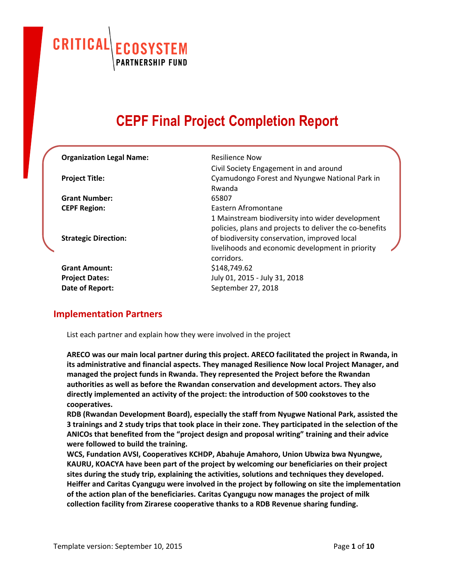CRITICAL **ECOSYSTEM**<br>PARTNERSHIP FUND

# **CEPF Final Project Completion Report**

| <b>Organization Legal Name:</b> | Resilience Now                                          |
|---------------------------------|---------------------------------------------------------|
|                                 | Civil Society Engagement in and around                  |
| <b>Project Title:</b>           | Cyamudongo Forest and Nyungwe National Park in          |
|                                 | Rwanda                                                  |
| <b>Grant Number:</b>            | 65807                                                   |
| <b>CEPF Region:</b>             | <b>Fastern Afromontane</b>                              |
|                                 | 1 Mainstream biodiversity into wider development        |
|                                 | policies, plans and projects to deliver the co-benefits |
| <b>Strategic Direction:</b>     | of biodiversity conservation, improved local            |
|                                 | livelihoods and economic development in priority        |
|                                 | corridors.                                              |
| <b>Grant Amount:</b>            | \$148,749.62                                            |
| <b>Project Dates:</b>           | July 01, 2015 - July 31, 2018                           |
| Date of Report:                 | September 27, 2018                                      |
|                                 |                                                         |

#### **Implementation Partners**

List each partner and explain how they were involved in the project

**ARECO was our main local partner during this project. ARECO facilitated the project in Rwanda, in its administrative and financial aspects. They managed Resilience Now local Project Manager, and managed the project funds in Rwanda. They represented the Project before the Rwandan authorities as well as before the Rwandan conservation and development actors. They also directly implemented an activity of the project: the introduction of 500 cookstoves to the cooperatives.**

**RDB (Rwandan Development Board), especially the staff from Nyugwe National Park, assisted the** 3 trainings and 2 study trips that took place in their zone. They participated in the selection of the **ANICOs that benefited from the "project design and proposal writing" training and their advice were followed to build the training.**

**WCS, Fundation AVSI, Cooperatives KCHDP, Abahuje Amahoro, Union Ubwiza bwa Nyungwe, KAURU, KOACYA have been part of the project by welcoming our beneficiaries on their project sites during the study trip, explaining the activities, solutions and techniques they developed. Heiffer and Caritas Cyangugu were involved in the project by following on site the implementation of the action plan of the beneficiaries. Caritas Cyangugu now manages the project of milk collection facility from Zirarese cooperative thanks to a RDB Revenue sharing funding.**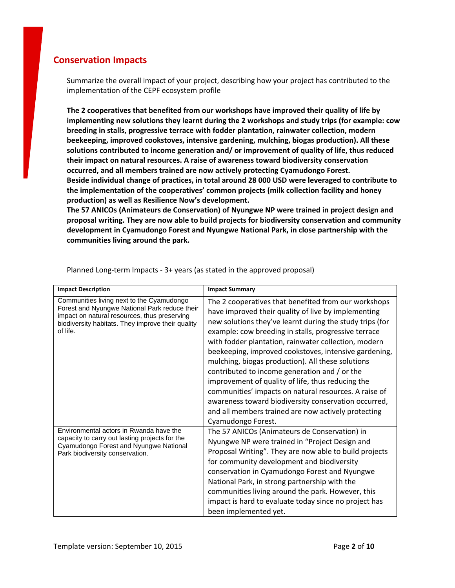#### **Conservation Impacts**

Summarize the overall impact of your project, describing how your project has contributed to the implementation of the CEPF ecosystem profile

**The 2 cooperatives that benefited from our workshops have improved their quality of life by implementing new solutions they learnt during the 2 workshops and study trips (for example: cow breeding in stalls, progressive terrace with fodder plantation, rainwater collection, modern beekeeping, improved cookstoves, intensive gardening, mulching, biogas production). All these solutions contributed to income generation and/ or improvement of quality of life, thus reduced their impact on natural resources. A raise of awareness toward biodiversity conservation occurred, and all members trained are now actively protecting Cyamudongo Forest. Beside individual change of practices, in total around 28 000 USD were leveraged to contribute to the implementation of the cooperatives' common projects (milk collection facility and honey production) as well as Resilience Now's development.**

**The 57 ANICOs (Animateurs de Conservation) of Nyungwe NP were trained in project design and proposal writing. They are now able to build projects for biodiversity conservation and community development in Cyamudongo Forest and Nyungwe National Park, in close partnership with the communities living around the park.**

| <b>Impact Description</b>                                                                                                                                                                                   | <b>Impact Summary</b>                                                                                                                                                                                                                                                                                                                                                                                                                                                                                                                                                                                                                                                                                     |
|-------------------------------------------------------------------------------------------------------------------------------------------------------------------------------------------------------------|-----------------------------------------------------------------------------------------------------------------------------------------------------------------------------------------------------------------------------------------------------------------------------------------------------------------------------------------------------------------------------------------------------------------------------------------------------------------------------------------------------------------------------------------------------------------------------------------------------------------------------------------------------------------------------------------------------------|
| Communities living next to the Cyamudongo<br>Forest and Nyungwe National Park reduce their<br>impact on natural resources, thus preserving<br>biodiversity habitats. They improve their quality<br>of life. | The 2 cooperatives that benefited from our workshops<br>have improved their quality of live by implementing<br>new solutions they've learnt during the study trips (for<br>example: cow breeding in stalls, progressive terrace<br>with fodder plantation, rainwater collection, modern<br>beekeeping, improved cookstoves, intensive gardening,<br>mulching, biogas production). All these solutions<br>contributed to income generation and / or the<br>improvement of quality of life, thus reducing the<br>communities' impacts on natural resources. A raise of<br>awareness toward biodiversity conservation occurred,<br>and all members trained are now actively protecting<br>Cyamudongo Forest. |
| Environmental actors in Rwanda have the<br>capacity to carry out lasting projects for the<br>Cyamudongo Forest and Nyungwe National<br>Park biodiversity conservation.                                      | The 57 ANICOs (Animateurs de Conservation) in<br>Nyungwe NP were trained in "Project Design and<br>Proposal Writing". They are now able to build projects<br>for community development and biodiversity<br>conservation in Cyamudongo Forest and Nyungwe<br>National Park, in strong partnership with the<br>communities living around the park. However, this<br>impact is hard to evaluate today since no project has<br>been implemented yet.                                                                                                                                                                                                                                                          |

Planned Long-term Impacts - 3+ years (as stated in the approved proposal)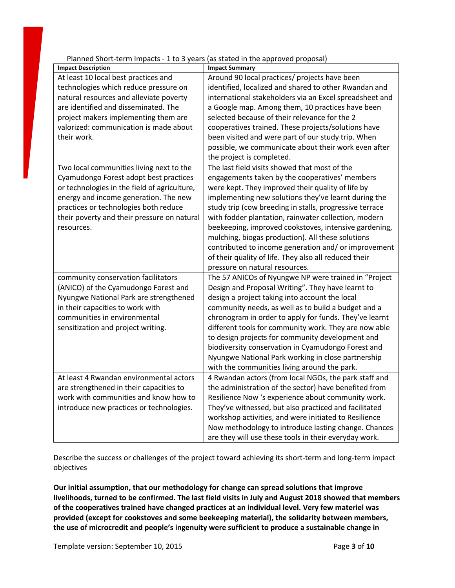| Platified Silon-term impacts - I to 5 years (as stated in the approved proposal) |                                                         |
|----------------------------------------------------------------------------------|---------------------------------------------------------|
| <b>Impact Description</b>                                                        | <b>Impact Summary</b>                                   |
| At least 10 local best practices and                                             | Around 90 local practices/ projects have been           |
| technologies which reduce pressure on                                            | identified, localized and shared to other Rwandan and   |
| natural resources and alleviate poverty                                          | international stakeholders via an Excel spreadsheet and |
| are identified and disseminated. The                                             | a Google map. Among them, 10 practices have been        |
| project makers implementing them are                                             | selected because of their relevance for the 2           |
| valorized: communication is made about                                           | cooperatives trained. These projects/solutions have     |
| their work.                                                                      | been visited and were part of our study trip. When      |
|                                                                                  | possible, we communicate about their work even after    |
|                                                                                  | the project is completed.                               |
| Two local communities living next to the                                         | The last field visits showed that most of the           |
| Cyamudongo Forest adopt best practices                                           | engagements taken by the cooperatives' members          |
| or technologies in the field of agriculture,                                     | were kept. They improved their quality of life by       |
| energy and income generation. The new                                            | implementing new solutions they've learnt during the    |
| practices or technologies both reduce                                            | study trip (cow breeding in stalls, progressive terrace |
| their poverty and their pressure on natural                                      | with fodder plantation, rainwater collection, modern    |
| resources.                                                                       | beekeeping, improved cookstoves, intensive gardening,   |
|                                                                                  | mulching, biogas production). All these solutions       |
|                                                                                  | contributed to income generation and/ or improvement    |
|                                                                                  | of their quality of life. They also all reduced their   |
|                                                                                  | pressure on natural resources.                          |
| community conservation facilitators                                              | The 57 ANICOs of Nyungwe NP were trained in "Project    |
| (ANICO) of the Cyamudongo Forest and                                             | Design and Proposal Writing". They have learnt to       |
| Nyungwe National Park are strengthened                                           | design a project taking into account the local          |
| in their capacities to work with                                                 | community needs, as well as to build a budget and a     |
| communities in environmental                                                     | chronogram in order to apply for funds. They've learnt  |
| sensitization and project writing.                                               | different tools for community work. They are now able   |
|                                                                                  | to design projects for community development and        |
|                                                                                  | biodiversity conservation in Cyamudongo Forest and      |
|                                                                                  | Nyungwe National Park working in close partnership      |
|                                                                                  | with the communities living around the park.            |
| At least 4 Rwandan environmental actors                                          | 4 Rwandan actors (from local NGOs, the park staff and   |
| are strengthened in their capacities to                                          | the administration of the sector) have benefited from   |
| work with communities and know how to                                            | Resilience Now 's experience about community work.      |
| introduce new practices or technologies.                                         | They've witnessed, but also practiced and facilitated   |
|                                                                                  | workshop activities, and were initiated to Resilience   |
|                                                                                  |                                                         |
|                                                                                  | Now methodology to introduce lasting change. Chances    |
|                                                                                  | are they will use these tools in their everyday work.   |

Planned Short-term Impacts - 1 to 3 years (as stated in the approved proposal)

Describe the success or challenges of the project toward achieving its short-term and long-term impact objectives

**Our initial assumption, that our methodology for change can spread solutions that improve livelihoods, turned to be confirmed. The last field visits in July and August 2018 showed that members of the cooperatives trained have changed practices at an individual level. Very few materiel was provided (except for cookstoves and some beekeeping material), the solidarity between members, the use of microcredit and people's ingenuity were sufficient to produce a sustainable change in**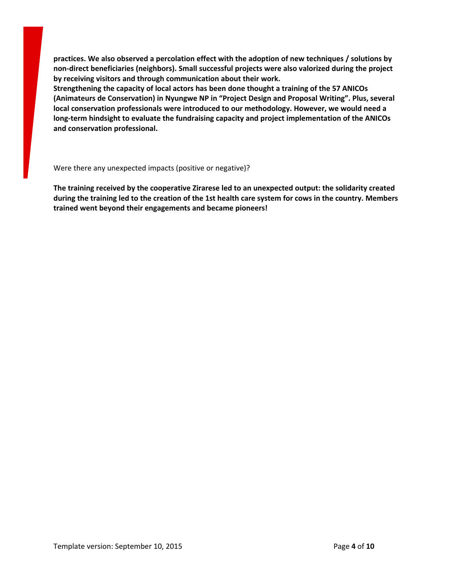**practices. We also observed a percolation effect with the adoption of new techniques / solutions by non-direct beneficiaries (neighbors). Small successful projects were also valorized during the project by receiving visitors and through communication about their work.**

**Strengthening the capacity of local actors has been done thought a training of the 57 ANICOs (Animateurs de Conservation) in Nyungwe NP in "Project Design and Proposal Writing". Plus, several local conservation professionals were introduced to our methodology. However, we would need a long-term hindsight to evaluate the fundraising capacity and project implementation of the ANICOs and conservation professional.**

Were there any unexpected impacts (positive or negative)?

**The training received by the cooperative Zirarese led to an unexpected output: the solidarity created** during the training led to the creation of the 1st health care system for cows in the country. Members **trained went beyond their engagements and became pioneers!**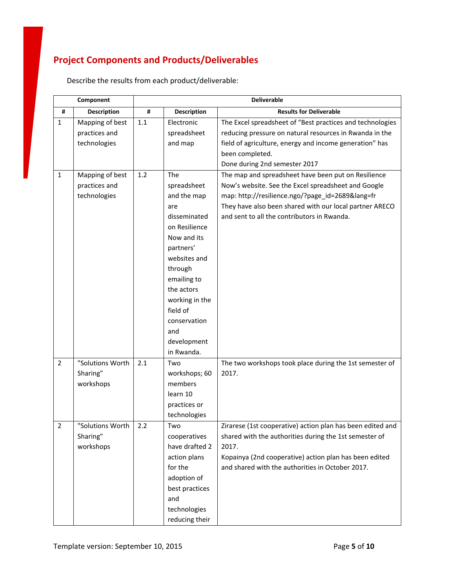## **Project Components and Products/Deliverables**

|                | Component                                        | <b>Deliverable</b> |                                                                                                                                                                                                                                                 |                                                                                                                                                                                                                                                                      |
|----------------|--------------------------------------------------|--------------------|-------------------------------------------------------------------------------------------------------------------------------------------------------------------------------------------------------------------------------------------------|----------------------------------------------------------------------------------------------------------------------------------------------------------------------------------------------------------------------------------------------------------------------|
| #              | <b>Description</b>                               | #                  | <b>Description</b>                                                                                                                                                                                                                              | <b>Results for Deliverable</b>                                                                                                                                                                                                                                       |
| $\mathbf{1}$   | Mapping of best<br>practices and<br>technologies | 1.1                | Electronic<br>spreadsheet<br>and map                                                                                                                                                                                                            | The Excel spreadsheet of "Best practices and technologies<br>reducing pressure on natural resources in Rwanda in the<br>field of agriculture, energy and income generation" has<br>been completed.<br>Done during 2nd semester 2017                                  |
| $\mathbf{1}$   | Mapping of best<br>practices and<br>technologies | 1.2                | The<br>spreadsheet<br>and the map<br>are<br>disseminated<br>on Resilience<br>Now and its<br>partners'<br>websites and<br>through<br>emailing to<br>the actors<br>working in the<br>field of<br>conservation<br>and<br>development<br>in Rwanda. | The map and spreadsheet have been put on Resilience<br>Now's website. See the Excel spreadsheet and Google<br>map: http://resilience.ngo/?page id=2689⟨=fr<br>They have also been shared with our local partner ARECO<br>and sent to all the contributors in Rwanda. |
| $\overline{2}$ | "Solutions Worth<br>Sharing"<br>workshops        | 2.1                | Two<br>workshops; 60<br>members<br>learn 10<br>practices or<br>technologies                                                                                                                                                                     | The two workshops took place during the 1st semester of<br>2017.                                                                                                                                                                                                     |
| 2              | "Solutions Worth<br>Sharing"<br>workshops        | 2.2                | Two<br>cooperatives<br>have drafted 2<br>action plans<br>for the<br>adoption of<br>best practices<br>and<br>technologies<br>reducing their                                                                                                      | Zirarese (1st cooperative) action plan has been edited and<br>shared with the authorities during the 1st semester of<br>2017.<br>Kopainya (2nd cooperative) action plan has been edited<br>and shared with the authorities in October 2017.                          |

Describe the results from each product/deliverable: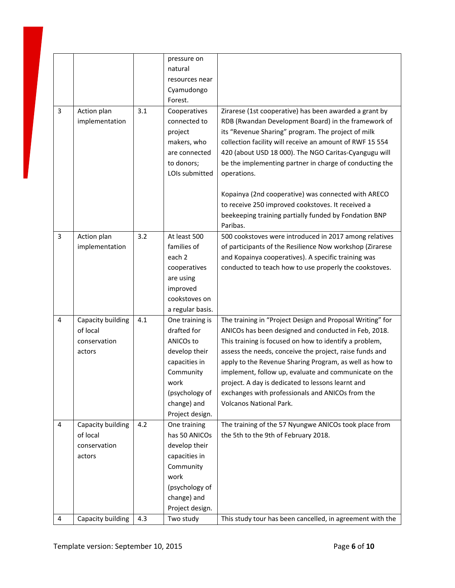| 3              | Action plan<br>implementation                           | 3.1 | pressure on<br>natural<br>resources near<br>Cyamudongo<br>Forest.<br>Cooperatives<br>connected to<br>project<br>makers, who                            | Zirarese (1st cooperative) has been awarded a grant by<br>RDB (Rwandan Development Board) in the framework of<br>its "Revenue Sharing" program. The project of milk<br>collection facility will receive an amount of RWF 15 554                                                                                                                                                                                                                                                                |
|----------------|---------------------------------------------------------|-----|--------------------------------------------------------------------------------------------------------------------------------------------------------|------------------------------------------------------------------------------------------------------------------------------------------------------------------------------------------------------------------------------------------------------------------------------------------------------------------------------------------------------------------------------------------------------------------------------------------------------------------------------------------------|
|                |                                                         |     | are connected<br>to donors;<br>LOIs submitted                                                                                                          | 420 (about USD 18 000). The NGO Caritas-Cyangugu will<br>be the implementing partner in charge of conducting the<br>operations.<br>Kopainya (2nd cooperative) was connected with ARECO<br>to receive 250 improved cookstoves. It received a<br>beekeeping training partially funded by Fondation BNP<br>Paribas.                                                                                                                                                                               |
| 3              | Action plan<br>implementation                           | 3.2 | At least 500<br>families of<br>each 2<br>cooperatives<br>are using<br>improved<br>cookstoves on<br>a regular basis.                                    | 500 cookstoves were introduced in 2017 among relatives<br>of participants of the Resilience Now workshop (Zirarese<br>and Kopainya cooperatives). A specific training was<br>conducted to teach how to use properly the cookstoves.                                                                                                                                                                                                                                                            |
| 4              | Capacity building<br>of local<br>conservation<br>actors | 4.1 | One training is<br>drafted for<br>ANICOs to<br>develop their<br>capacities in<br>Community<br>work<br>(psychology of<br>change) and<br>Project design. | The training in "Project Design and Proposal Writing" for<br>ANICOs has been designed and conducted in Feb, 2018.<br>This training is focused on how to identify a problem,<br>assess the needs, conceive the project, raise funds and<br>apply to the Revenue Sharing Program, as well as how to<br>implement, follow up, evaluate and communicate on the<br>project. A day is dedicated to lessons learnt and<br>exchanges with professionals and ANICOs from the<br>Volcanos National Park. |
| $\overline{4}$ | Capacity building<br>of local<br>conservation<br>actors | 4.2 | One training<br>has 50 ANICOs<br>develop their<br>capacities in<br>Community<br>work<br>(psychology of<br>change) and<br>Project design.               | The training of the 57 Nyungwe ANICOs took place from<br>the 5th to the 9th of February 2018.                                                                                                                                                                                                                                                                                                                                                                                                  |
| 4              | Capacity building                                       | 4.3 | Two study                                                                                                                                              | This study tour has been cancelled, in agreement with the                                                                                                                                                                                                                                                                                                                                                                                                                                      |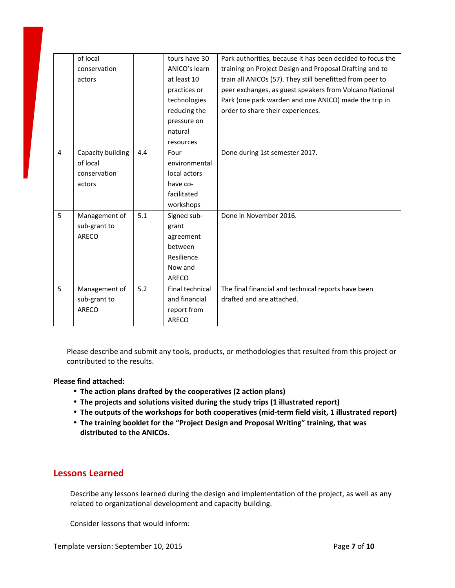|                | of local          |     | tours have 30   | Park authorities, because it has been decided to focus the |
|----------------|-------------------|-----|-----------------|------------------------------------------------------------|
|                | conservation      |     | ANICO's learn   | training on Project Design and Proposal Drafting and to    |
|                | actors            |     | at least 10     | train all ANICOs (57). They still benefitted from peer to  |
|                |                   |     | practices or    | peer exchanges, as guest speakers from Volcano National    |
|                |                   |     | technologies    | Park (one park warden and one ANICO) made the trip in      |
|                |                   |     | reducing the    | order to share their experiences.                          |
|                |                   |     | pressure on     |                                                            |
|                |                   |     | natural         |                                                            |
|                |                   |     | resources       |                                                            |
| $\overline{4}$ | Capacity building | 4.4 | Four            | Done during 1st semester 2017.                             |
|                | of local          |     | environmental   |                                                            |
|                | conservation      |     | local actors    |                                                            |
|                | actors            |     | have co-        |                                                            |
|                |                   |     | facilitated     |                                                            |
|                |                   |     | workshops       |                                                            |
| 5              | Management of     | 5.1 | Signed sub-     | Done in November 2016.                                     |
|                | sub-grant to      |     | grant           |                                                            |
|                | <b>ARECO</b>      |     | agreement       |                                                            |
|                |                   |     | between         |                                                            |
|                |                   |     | Resilience      |                                                            |
|                |                   |     | Now and         |                                                            |
|                |                   |     | ARECO           |                                                            |
| 5              | Management of     | 5.2 | Final technical | The final financial and technical reports have been        |
|                | sub-grant to      |     | and financial   | drafted and are attached.                                  |
|                | <b>ARECO</b>      |     | report from     |                                                            |
|                |                   |     | ARECO           |                                                            |

Please describe and submit any tools, products, or methodologies that resulted from this project or contributed to the results.

#### **Please find attached:**

- **The action plans drafted by the cooperatives (2 action plans)**
- **The projects and solutions visited during the study trips (1 illustrated report)**
- **The outputs of the workshops for both cooperatives (mid-term field visit, 1 illustrated report)**
- **The training booklet for the "Project Design and Proposal Writing" training, that was distributed to the ANICOs.**

#### **Lessons Learned**

Describe any lessons learned during the design and implementation of the project, as well as any related to organizational development and capacity building.

Consider lessons that would inform: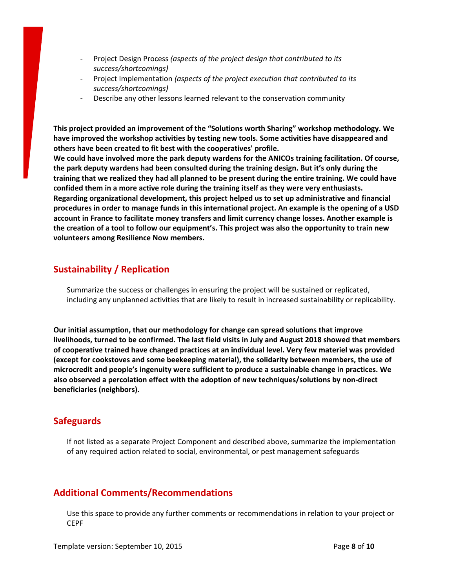- Project Design Process *(aspects of the project design that contributed to its success/shortcomings)*
- Project Implementation *(aspects of the project execution that contributed to its success/shortcomings)*
- Describe any other lessons learned relevant to the conservation community

**This project provided an improvement of the "Solutions worth Sharing" workshop methodology. We have improved the workshop activities by testing new tools. Some activities have disappeared and others have been created to fit best with the cooperatives' profile.**

**We could have involved more the park deputy wardens for the ANICOs training facilitation. Of course, the park deputy wardens had been consulted during the training design. But it's only during the** training that we realized they had all planned to be present during the entire training. We could have **confided them in a more active role during the training itself as they were very enthusiasts. Regarding organizational development, this project helped us to set up administrative and financial** procedures in order to manage funds in this international project. An example is the opening of a USD **account in France to facilitate money transfers and limit currency change losses. Another example is** the creation of a tool to follow our equipment's. This project was also the opportunity to train new **volunteers among Resilience Now members.**

## **Sustainability / Replication**

Summarize the success or challenges in ensuring the project will be sustained or replicated, including any unplanned activities that are likely to result in increased sustainability or replicability.

**Our initial assumption, that our methodology for change can spread solutions that improve livelihoods, turned to be confirmed. The last field visits in July and August 2018 showed that members of cooperative trained have changed practices at an individual level. Very few materiel was provided (except for cookstoves and some beekeeping material), the solidarity between members, the use of microcredit and people's ingenuity were sufficient to produce a sustainable change in practices. We also observed a percolation effect with the adoption of new techniques/solutions by non-direct beneficiaries (neighbors).**

#### **Safeguards**

If not listed as a separate Project Component and described above, summarize the implementation of any required action related to social, environmental, or pest management safeguards

## **Additional Comments/Recommendations**

Use this space to provide any further comments or recommendations in relation to your project or CEPF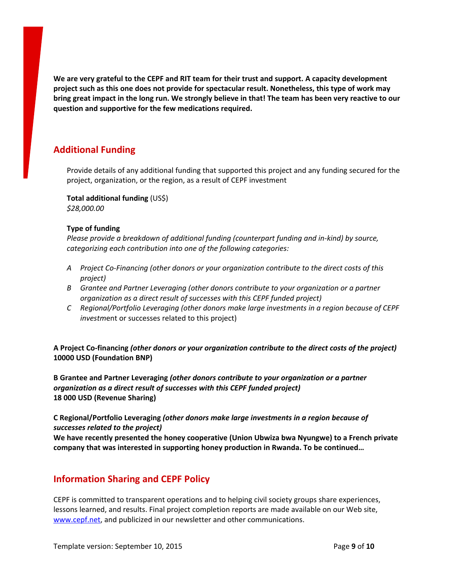**We are very grateful to the CEPF and RIT team for their trust and support. A capacity development project such as this one does not provide for spectacular result. Nonetheless, this type of work may** bring great impact in the long run. We strongly believe in that! The team has been very reactive to our **question and supportive for the few medications required.**

## **Additional Funding**

Provide details of any additional funding that supported this project and any funding secured for the project, organization, or the region, as a result of CEPF investment

**Total additional funding** (US\$) *\$28,000.00*

#### **Type of funding**

*Please provide a breakdown of additional funding (counterpart funding and in-kind) by source, categorizing each contribution into one of the following categories:*

- *A Project Co-Financing (other donors or your organization contribute to the direct costs of this project)*
- *B Grantee and Partner Leveraging (other donors contribute to your organization or a partner organization as a direct result of successes with this CEPF funded project)*
- *C Regional/Portfolio Leveraging (other donors make large investments in a region because of CEPF investm*ent or successes related to this project)

**A Project Co-financing** *(other donors or your organization contribute to the direct costs of the project)* **10000 USD (Foundation BNP)**

**B Grantee and Partner Leveraging** *(other donors contribute to your organization or a partner organization as a direct result of successes with this CEPF funded project)* **18 000 USD (Revenue Sharing)**

#### **C Regional/Portfolio Leveraging** *(other donors make large investments in a region because of successes related to the project)*

**We have recently presented the honey cooperative (Union Ubwiza bwa Nyungwe) to a French private company that was interested in supporting honey production in Rwanda. To be continued…**

#### **Information Sharing and CEPF Policy**

CEPF is committed to transparent operations and to helping civil society groups share experiences, lessons learned, and results. Final project completion reports are made available on our Web site, [www.cepf.net](http://www.cepf.net/), and publicized in our newsletter and other communications.